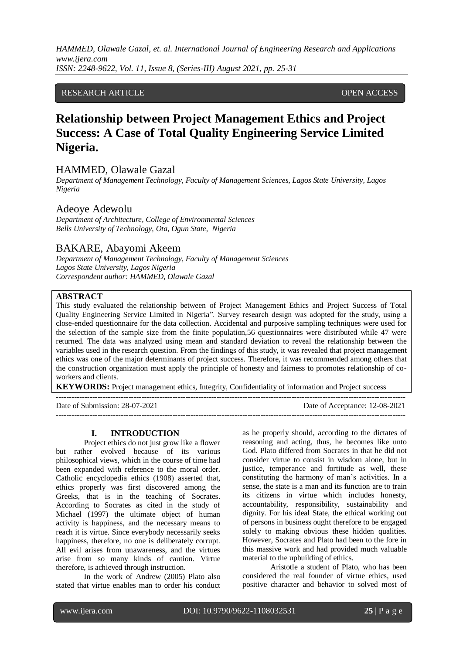*HAMMED, Olawale Gazal, et. al. International Journal of Engineering Research and Applications www.ijera.com ISSN: 2248-9622, Vol. 11, Issue 8, (Series-III) August 2021, pp. 25-31*

# RESEARCH ARTICLE OPEN ACCESS

# **Relationship between Project Management Ethics and Project Success: A Case of Total Quality Engineering Service Limited Nigeria.**

# HAMMED, Olawale Gazal

*Department of Management Technology, Faculty of Management Sciences, Lagos State University, Lagos Nigeria*

# Adeoye Adewolu

*Department of Architecture, College of Environmental Sciences Bells University of Technology, Ota, Ogun State, Nigeria*

# BAKARE, Abayomi Akeem

*Department of Management Technology, Faculty of Management Sciences Lagos State University, Lagos Nigeria Correspondent author: HAMMED, Olawale Gazal* 

#### **ABSTRACT**

This study evaluated the relationship between of Project Management Ethics and Project Success of Total Quality Engineering Service Limited in Nigeria". Survey research design was adopted for the study, using a close-ended questionnaire for the data collection. Accidental and purposive sampling techniques were used for the selection of the sample size from the finite population,56 questionnaires were distributed while 47 were returned. The data was analyzed using mean and standard deviation to reveal the relationship between the variables used in the research question. From the findings of this study, it was revealed that project management ethics was one of the major determinants of project success. Therefore, it was recommended among others that the construction organization must apply the principle of honesty and fairness to promotes relationship of coworkers and clients.

**KEYWORDS:** Project management ethics, Integrity, Confidentiality of information and Project success

Date of Submission: 28-07-2021 Date of Acceptance: 12-08-2021

---------------------------------------------------------------------------------------------------------------------------------------

# **I. INTRODUCTION**

---------------------------------------------------------------------------------------------------------------------------------------

Project ethics do not just grow like a flower but rather evolved because of its various philosophical views, which in the course of time had been expanded with reference to the moral order. Catholic encyclopedia ethics (1908) asserted that, ethics properly was first discovered among the Greeks, that is in the teaching of Socrates. According to Socrates as cited in the study of Michael (1997) the ultimate object of human activity is happiness, and the necessary means to reach it is virtue. Since everybody necessarily seeks happiness, therefore, no one is deliberately corrupt. All evil arises from unawareness, and the virtues arise from so many kinds of caution. Virtue therefore, is achieved through instruction.

In the work of Andrew (2005) Plato also stated that virtue enables man to order his conduct as he properly should, according to the dictates of reasoning and acting, thus, he becomes like unto God. Plato differed from Socrates in that he did not consider virtue to consist in wisdom alone, but in justice, temperance and fortitude as well, these constituting the harmony of man's activities. In a sense, the state is a man and its function are to train its citizens in virtue which includes honesty, accountability, responsibility, sustainability and dignity. For his ideal State, the ethical working out of persons in business ought therefore to be engaged solely to making obvious these hidden qualities. However, Socrates and Plato had been to the fore in this massive work and had provided much valuable material to the upbuilding of ethics.

Aristotle a student of Plato, who has been considered the real founder of virtue ethics, used positive character and behavior to solved most of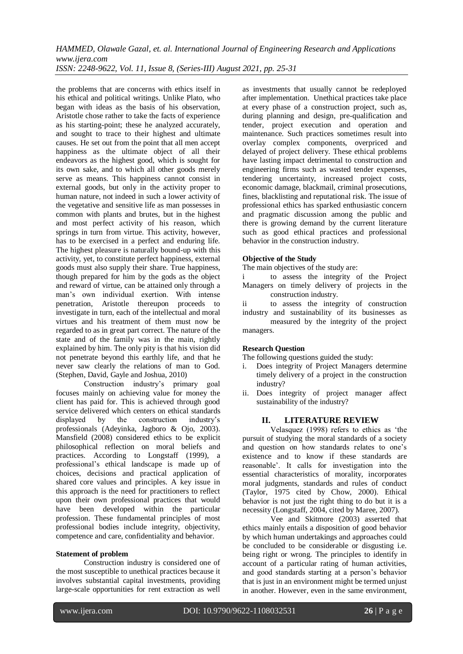*HAMMED, Olawale Gazal, et. al. International Journal of Engineering Research and Applications www.ijera.com ISSN: 2248-9622, Vol. 11, Issue 8, (Series-III) August 2021, pp. 25-31*

the problems that are concerns with ethics itself in his ethical and political writings. Unlike Plato, who began with ideas as the basis of his observation, Aristotle chose rather to take the facts of experience as his starting-point; these he analyzed accurately, and sought to trace to their highest and ultimate causes. He set out from the point that all men accept happiness as the ultimate object of all their endeavors as the highest good, which is sought for its own sake, and to which all other goods merely serve as means. This happiness cannot consist in external goods, but only in the activity proper to human nature, not indeed in such a lower activity of the vegetative and sensitive life as man possesses in common with plants and brutes, but in the highest and most perfect activity of his reason, which springs in turn from virtue. This activity, however, has to be exercised in a perfect and enduring life. The highest pleasure is naturally bound-up with this activity, yet, to constitute perfect happiness, external goods must also supply their share. True happiness, though prepared for him by the gods as the object and reward of virtue, can be attained only through a man's own individual exertion. With intense penetration, Aristotle thereupon proceeds to investigate in turn, each of the intellectual and moral virtues and his treatment of them must now be regarded to as in great part correct. The nature of the state and of the family was in the main, rightly explained by him. The only pity is that his vision did not penetrate beyond this earthly life, and that he never saw clearly the relations of man to God. (Stephen, David, Gayle and Joshua, 2010)

Construction industry's primary goal focuses mainly on achieving value for money the client has paid for. This is achieved through good service delivered which centers on ethical standards displayed by the construction industry's professionals (Adeyinka, Jagboro & Ojo, 2003). Mansfield (2008) considered ethics to be explicit philosophical reflection on moral beliefs and practices. According to Longstaff (1999), a professional's ethical landscape is made up of choices, decisions and practical application of shared core values and principles. A key issue in this approach is the need for practitioners to reflect upon their own professional practices that would have been developed within the particular profession. These fundamental principles of most professional bodies include integrity, objectivity, competence and care, confidentiality and behavior.

# **Statement of problem**

Construction industry is considered one of the most susceptible to unethical practices because it involves substantial capital investments, providing large-scale opportunities for rent extraction as well as investments that usually cannot be redeployed after implementation. Unethical practices take place at every phase of a construction project, such as, during planning and design, pre-qualification and tender, project execution and operation and maintenance. Such practices sometimes result into overlay complex components, overpriced and delayed of project delivery. These ethical problems have lasting impact detrimental to construction and engineering firms such as wasted tender expenses, tendering uncertainty, increased project costs, economic damage, blackmail, criminal prosecutions, fines, blacklisting and reputational risk. The issue of professional ethics has sparked enthusiastic concern and pragmatic discussion among the public and there is growing demand by the current literature such as good ethical practices and professional behavior in the construction industry.

#### **Objective of the Study**

The main objectives of the study are:

i to assess the integrity of the Project Managers on timely delivery of projects in the construction industry.

ii to assess the integrity of construction industry and sustainability of its businesses as measured by the integrity of the project managers.

#### **Research Question**

The following questions guided the study:

- i. Does integrity of Project Managers determine timely delivery of a project in the construction industry?
- ii. Does integrity of project manager affect sustainability of the industry?

# **II. LITERATURE REVIEW**

Velasquez (1998) refers to ethics as 'the pursuit of studying the moral standards of a society and question on how standards relates to one's existence and to know if these standards are reasonable'. It calls for investigation into the essential characteristics of morality, incorporates moral judgments, standards and rules of conduct (Taylor, 1975 cited by Chow, 2000). Ethical behavior is not just the right thing to do but it is a necessity (Longstaff, 2004, cited by Maree, 2007).

Vee and Skitmore (2003) asserted that ethics mainly entails a disposition of good behavior by which human undertakings and approaches could be concluded to be considerable or disgusting i.e. being right or wrong. The principles to identify in account of a particular rating of human activities, and good standards starting at a person's behavior that is just in an environment might be termed unjust in another. However, even in the same environment,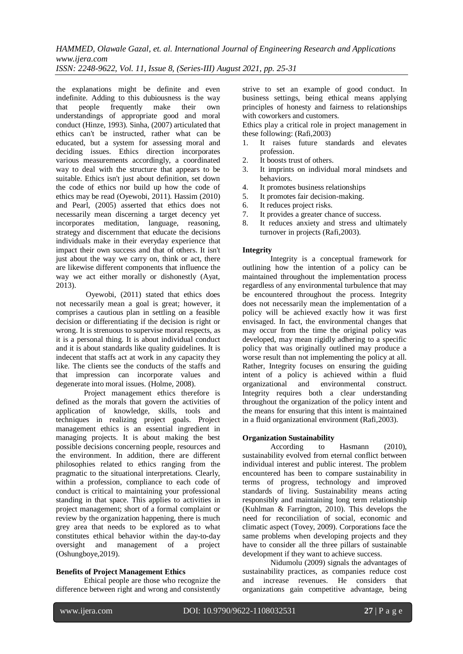*HAMMED, Olawale Gazal, et. al. International Journal of Engineering Research and Applications www.ijera.com ISSN: 2248-9622, Vol. 11, Issue 8, (Series-III) August 2021, pp. 25-31*

the explanations might be definite and even indefinite. Adding to this dubiousness is the way that people frequently make their own understandings of appropriate good and moral conduct (Hinze, 1993). Sinha, (2007) articulated that ethics can't be instructed, rather what can be educated, but a system for assessing moral and deciding issues. Ethics direction incorporates various measurements accordingly, a coordinated way to deal with the structure that appears to be suitable. Ethics isn't just about definition, set down the code of ethics nor build up how the code of ethics may be read (Oyewobi, 2011). Hassim (2010) and Pearl, (2005) asserted that ethics does not necessarily mean discerning a target decency yet incorporates meditation, language, reasoning, strategy and discernment that educate the decisions individuals make in their everyday experience that impact their own success and that of others. It isn't just about the way we carry on, think or act, there are likewise different components that influence the way we act either morally or dishonestly (Ayat, 2013).

Oyewobi, (2011) stated that ethics does not necessarily mean a goal is great; however, it comprises a cautious plan in settling on a feasible decision or differentiating if the decision is right or wrong. It is strenuous to supervise moral respects, as it is a personal thing. It is about individual conduct and it is about standards like quality guidelines. It is indecent that staffs act at work in any capacity they like. The clients see the conducts of the staffs and that impression can incorporate values and degenerate into moral issues. (Holme, 2008).

Project management ethics therefore is defined as the morals that govern the activities of application of knowledge, skills, tools and techniques in realizing project goals. Project management ethics is an essential ingredient in managing projects. It is about making the best possible decisions concerning people, resources and the environment. In addition, there are different philosophies related to ethics ranging from the pragmatic to the situational interpretations. Clearly, within a profession, compliance to each code of conduct is critical to maintaining your professional standing in that space. This applies to activities in project management; short of a formal complaint or review by the organization happening, there is much grey area that needs to be explored as to what constitutes ethical behavior within the day-to-day oversight and management of a project (Oshungboye,2019).

# **Benefits of Project Management Ethics**

Ethical people are those who recognize the difference between right and wrong and consistently strive to set an example of good conduct. In business settings, being ethical means applying principles of honesty and fairness to relationships with coworkers and customers.

Ethics play a critical role in project management in these following: (Rafi,2003)

- 1. It raises future standards and elevates profession.
- 2. It boosts trust of others.
- 3. It imprints on individual moral mindsets and behaviors.
- 4. It promotes business relationships
- 5. It promotes fair decision-making.
- 6. It reduces project risks.
- 7. It provides a greater chance of success.
- 8. It reduces anxiety and stress and ultimately turnover in projects (Rafi,2003).

#### **Integrity**

Integrity is a conceptual framework for outlining how the intention of a policy can be maintained throughout the implementation process regardless of any environmental turbulence that may be encountered throughout the process. Integrity does not necessarily mean the implementation of a policy will be achieved exactly how it was first envisaged. In fact, the environmental changes that may occur from the time the original policy was developed, may mean rigidly adhering to a specific policy that was originally outlined may produce a worse result than not implementing the policy at all. Rather, Integrity focuses on ensuring the guiding intent of a policy is achieved within a fluid organizational and environmental construct. Integrity requires both a clear understanding throughout the organization of the policy intent and the means for ensuring that this intent is maintained in a fluid organizational environment (Rafi,2003).

#### **Organization Sustainability**

According to Hasmann (2010), sustainability evolved from eternal conflict between individual interest and public interest. The problem encountered has been to compare sustainability in terms of progress, technology and improved standards of living. Sustainability means acting responsibly and maintaining long term relationship (Kuhlman & Farrington, 2010). This develops the need for reconciliation of social, economic and climatic aspect (Tovey, 2009). Corporations face the same problems when developing projects and they have to consider all the three pillars of sustainable development if they want to achieve success.

Nidumolu (2009) signals the advantages of sustainability practices, as companies reduce cost and increase revenues. He considers that organizations gain competitive advantage, being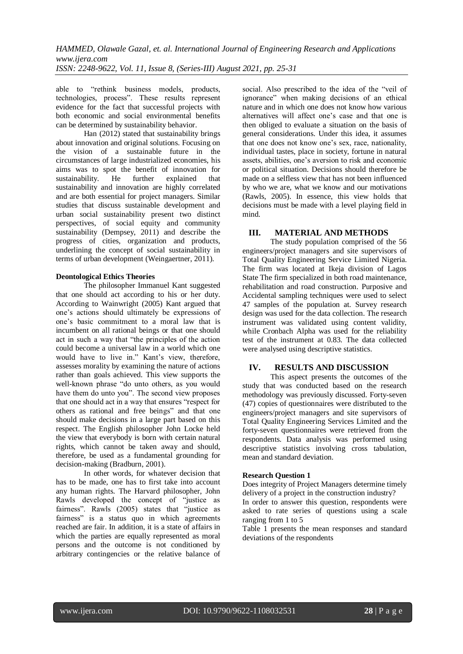able to "rethink business models, products, technologies, process". These results represent evidence for the fact that successful projects with both economic and social environmental benefits can be determined by sustainability behavior.

Han (2012) stated that sustainability brings about innovation and original solutions. Focusing on the vision of a sustainable future in the circumstances of large industrialized economies, his aims was to spot the benefit of innovation for sustainability. He further explained that sustainability and innovation are highly correlated and are both essential for project managers. Similar studies that discuss sustainable development and urban social sustainability present two distinct perspectives, of social equity and community sustainability (Dempsey, 2011) and describe the progress of cities, organization and products, underlining the concept of social sustainability in terms of urban development (Weingaertner, 2011).

# **Deontological Ethics Theories**

The philosopher Immanuel Kant suggested that one should act according to his or her duty. According to Wainwright (2005) Kant argued that one's actions should ultimately be expressions of one's basic commitment to a moral law that is incumbent on all rational beings or that one should act in such a way that "the principles of the action could become a universal law in a world which one would have to live in." Kant's view, therefore, assesses morality by examining the nature of actions rather than goals achieved. This view supports the well-known phrase "do unto others, as you would have them do unto you". The second view proposes that one should act in a way that ensures "respect for others as rational and free beings" and that one should make decisions in a large part based on this respect. The English philosopher John Locke held the view that everybody is born with certain natural rights, which cannot be taken away and should, therefore, be used as a fundamental grounding for decision-making (Bradburn, 2001).

In other words, for whatever decision that has to be made, one has to first take into account any human rights. The Harvard philosopher, John Rawls developed the concept of "justice as fairness". Rawls (2005) states that "justice as fairness" is a status quo in which agreements reached are fair. In addition, it is a state of affairs in which the parties are equally represented as moral persons and the outcome is not conditioned by arbitrary contingencies or the relative balance of social. Also prescribed to the idea of the "veil of ignorance" when making decisions of an ethical nature and in which one does not know how various alternatives will affect one's case and that one is then obliged to evaluate a situation on the basis of general considerations. Under this idea, it assumes that one does not know one's sex, race, nationality, individual tastes, place in society, fortune in natural assets, abilities, one's aversion to risk and economic or political situation. Decisions should therefore be made on a selfless view that has not been influenced by who we are, what we know and our motivations (Rawls, 2005). In essence, this view holds that decisions must be made with a level playing field in mind.

# **III. MATERIAL AND METHODS**

The study population comprised of the 56 engineers/project managers and site supervisors of Total Quality Engineering Service Limited Nigeria. The firm was located at Ikeja division of Lagos State The firm specialized in both road maintenance, rehabilitation and road construction. Purposive and Accidental sampling techniques were used to select 47 samples of the population at. Survey research design was used for the data collection. The research instrument was validated using content validity, while Cronbach Alpha was used for the reliability test of the instrument at 0.83. The data collected were analysed using descriptive statistics.

# **IV. RESULTS AND DISCUSSION**

This aspect presents the outcomes of the study that was conducted based on the research methodology was previously discussed. Forty-seven (47) copies of questionnaires were distributed to the engineers/project managers and site supervisors of Total Quality Engineering Services Limited and the forty-seven questionnaires were retrieved from the respondents. Data analysis was performed using descriptive statistics involving cross tabulation, mean and standard deviation.

# **Research Question 1**

Does integrity of Project Managers determine timely delivery of a project in the construction industry?

In order to answer this question, respondents were asked to rate series of questions using a scale ranging from 1 to 5

Table 1 presents the mean responses and standard deviations of the respondents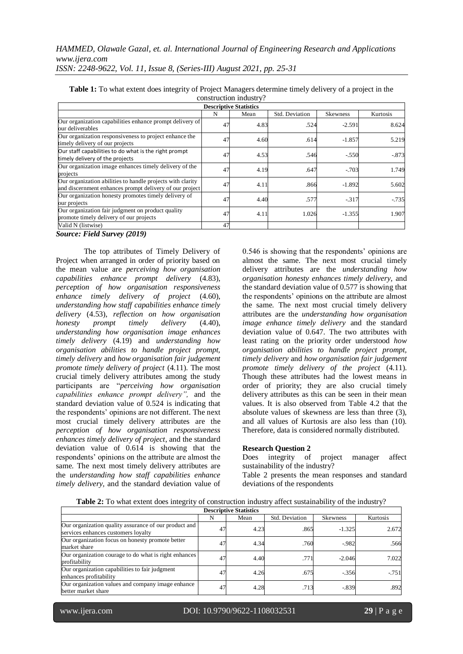| CONSULUCTION MURDER V.                                                                                                |    |      |                |                 |          |  |  |  |
|-----------------------------------------------------------------------------------------------------------------------|----|------|----------------|-----------------|----------|--|--|--|
| <b>Descriptive Statistics</b>                                                                                         |    |      |                |                 |          |  |  |  |
|                                                                                                                       | N  | Mean | Std. Deviation | <b>Skewness</b> | Kurtosis |  |  |  |
| Our organization capabilities enhance prompt delivery of<br>our deliverables                                          | 47 | 4.83 | .524           | $-2.591$        | 8.624    |  |  |  |
| Our organization responsiveness to project enhance the<br>timely delivery of our projects                             | 47 | 4.60 | .614           | $-1.857$        | 5.219    |  |  |  |
| Our staff capabilities to do what is the right prompt<br>timely delivery of the projects                              | 47 | 4.53 | .546           | $-.550$         | $-0.873$ |  |  |  |
| Our organization image enhances timely delivery of the<br>projects                                                    | 47 | 4.19 | .647           | $-.703$         | 1.749    |  |  |  |
| Our organization abilities to handle projects with clarity<br>and discernment enhances prompt delivery of our project | 47 | 4.11 | .866           | $-1.892$        | 5.602    |  |  |  |
| Our organization honesty promotes timely delivery of<br>our projects                                                  | 47 | 4.40 | .577           | $-.317$         | $-735$   |  |  |  |
| Our organization fair judgment on product quality<br>promote timely delivery of our projects                          | 47 | 4.11 | 1.026          | $-1.355$        | 1.907    |  |  |  |
| Valid N (listwise)                                                                                                    | 47 |      |                |                 |          |  |  |  |

**Table 1:** To what extent does integrity of Project Managers determine timely delivery of a project in the construction industry?

*Source: Field Survey (2019)*

The top attributes of Timely Delivery of Project when arranged in order of priority based on the mean value are *perceiving how organisation capabilities enhance prompt delivery* (4.83), *perception of how organisation responsiveness enhance timely delivery of project* (4.60), *understanding how staff capabilities enhance timely delivery* (4.53), *reflection on how organisation honesty prompt timely delivery* (4.40), *understanding how organisation image enhances timely delivery* (4.19) and *understanding how organisation abilities to handle project prompt, timely delivery* and *how organisation fair judgement promote timely delivery of project* (4.11). The most crucial timely delivery attributes among the study participants are "*perceiving how organisation capabilities enhance prompt delivery",* and the standard deviation value of 0.524 is indicating that the respondents' opinions are not different. The next most crucial timely delivery attributes are the *perception of how organisation responsiveness enhances timely delivery of project*, and the standard deviation value of 0.614 is showing that the respondents' opinions on the attribute are almost the same*.* The next most timely delivery attributes are the *understanding how staff capabilities enhance timely delivery,* and the standard deviation value of

0.546 is showing that the respondents' opinions are almost the same. The next most crucial timely delivery attributes are the *understanding how organisation honesty enhances timely delivery,* and the standard deviation value of 0.577 is showing that the respondents' opinions on the attribute are almost the same*.* The next most crucial timely delivery attributes are the *understanding how organisation image enhance timely delivery* and the standard deviation value of 0.647. The two attributes with least rating on the priority order understood *how organisation abilities to handle project prompt, timely delivery* and *how organisation fair judgement promote timely delivery of the project* (4.11). Though these attributes had the lowest means in order of priority; they are also crucial timely delivery attributes as this can be seen in their mean values. It is also observed from Table 4.2 that the absolute values of skewness are less than three (3), and all values of Kurtosis are also less than (10). Therefore, data is considered normally distributed.

# **Research Question 2**

Does integrity of project manager affect sustainability of the industry?

Table 2 presents the mean responses and standard deviations of the respondents

| <b>Descriptive Statistics</b>                                                                |    |      |                |                 |          |  |  |  |
|----------------------------------------------------------------------------------------------|----|------|----------------|-----------------|----------|--|--|--|
|                                                                                              | N  | Mean | Std. Deviation | <b>Skewness</b> | Kurtosis |  |  |  |
| Our organization quality assurance of our product and<br>services enhances customers loyalty | 47 | 4.23 | .865           | $-1.325$        | 2.672    |  |  |  |
| Our organization focus on honesty promote better<br>market share                             | 47 | 4.34 | .760           | $-.982$         | .566     |  |  |  |
| Our organization courage to do what is right enhances<br>profitability                       | 47 | 4.40 | .771           | $-2.046$        | 7.022    |  |  |  |
| Our organization capabilities to fair judgment<br>enhances profitability                     | 47 | 4.26 | .675           | $-356$          | $-751$   |  |  |  |
| Our organization values and company image enhance<br>better market share                     | 47 | 4.28 | .713           | $-839$          | .892     |  |  |  |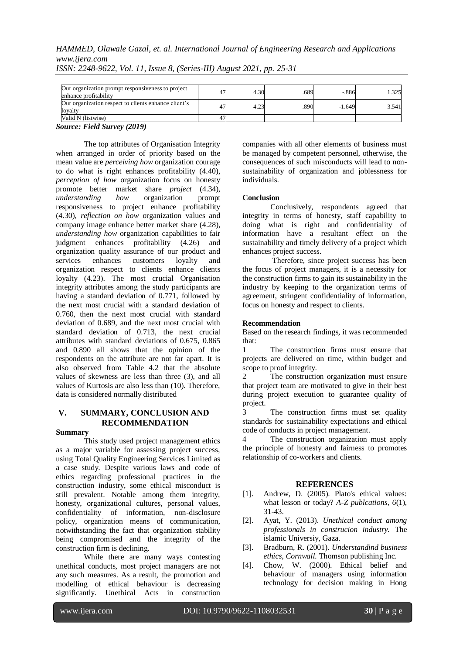# *HAMMED, Olawale Gazal, et. al. International Journal of Engineering Research and Applications www.ijera.com*

*ISSN: 2248-9622, Vol. 11, Issue 8, (Series-III) August 2021, pp. 25-31*

| Our organization prompt responsiveness to project<br>enhance profitability | 4.30 | .689 | $-886$   | .325  |
|----------------------------------------------------------------------------|------|------|----------|-------|
| Our organization respect to clients enhance client's<br>lovalty            | 4.23 | .890 | $-1.649$ | 3.541 |
| Valid N (listwise)                                                         |      |      |          |       |

*Source: Field Survey (2019)*

The top attributes of Organisation Integrity when arranged in order of priority based on the mean value are *perceiving how* organization courage to do what is right enhances profitability (4.40), *perception of how* organization focus on honesty promote better market share *project* (4.34), *understanding how* organization prompt responsiveness to project enhance profitability (4.30), *reflection on how* organization values and company image enhance better market share (4.28), *understanding how* organization capabilities to fair judgment enhances profitability (4.26) and organization quality assurance of our product and services enhances customers loyalty and organization respect to clients enhance clients loyalty (4.23). The most crucial Organisation integrity attributes among the study participants are having a standard deviation of 0.771, followed by the next most crucial with a standard deviation of 0.760, then the next most crucial with standard deviation of 0.689, and the next most crucial with standard deviation of 0.713, the next crucial attributes with standard deviations of 0.675, 0.865 and 0.890 all shows that the opinion of the respondents on the attribute are not far apart. It is also observed from Table 4.2 that the absolute values of skewness are less than three (3), and all values of Kurtosis are also less than (10). Therefore, data is considered normally distributed

# **V. SUMMARY, CONCLUSION AND RECOMMENDATION**

# **Summary**

This study used project management ethics as a major variable for assessing project success, using Total Quality Engineering Services Limited as a case study. Despite various laws and code of ethics regarding professional practices in the construction industry, some ethical misconduct is still prevalent. Notable among them integrity, honesty, organizational cultures, personal values, confidentiality of information, non-disclosure policy, organization means of communication, notwithstanding the fact that organization stability being compromised and the integrity of the construction firm is declining.

While there are many ways contesting unethical conducts, most project managers are not any such measures. As a result, the promotion and modelling of ethical behaviour is decreasing significantly. Unethical Acts in construction companies with all other elements of business must be managed by competent personnel, otherwise, the consequences of such misconducts will lead to nonsustainability of organization and joblessness for individuals.

# **Conclusion**

Conclusively, respondents agreed that integrity in terms of honesty, staff capability to doing what is right and confidentiality of information have a resultant effect on the sustainability and timely delivery of a project which enhances project success.

Therefore, since project success has been the focus of project managers, it is a necessity for the construction firms to gain its sustainability in the industry by keeping to the organization terms of agreement, stringent confidentiality of information, focus on honesty and respect to clients.

# **Recommendation**

Based on the research findings, it was recommended that:

1 The construction firms must ensure that projects are delivered on time, within budget and scope to proof integrity.

2 The construction organization must ensure that project team are motivated to give in their best during project execution to guarantee quality of project.

3 The construction firms must set quality standards for sustainability expectations and ethical code of conducts in project management.

4 The construction organization must apply the principle of honesty and fairness to promotes relationship of co-workers and clients.

# **REFERENCES**

- [1]. Andrew, D. (2005). Plato's ethical values: what lesson or today? *A-Z publcations, 6*(1), 31-43.
- [2]. Ayat, Y. (2013). *Unethical conduct among professionals in construcion industry.* The islamic Universiy, Gaza.
- [3]. Bradburn, R. (2001). *Understandind business ethics, Cornwall.* Thomson publishing Inc.
- [4]. Chow, W. (2000). Ethical belief and behaviour of managers using information technology for decision making in Hong